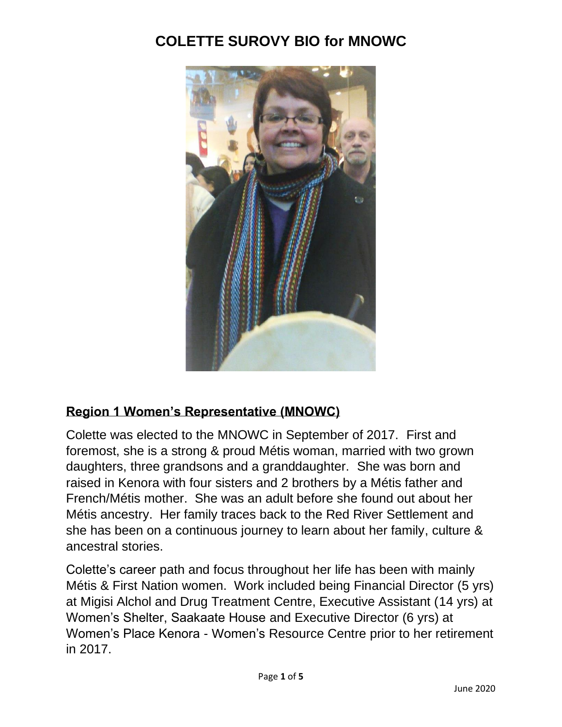

#### **Region 1 Women's Representative (MNOWC)**

Colette was elected to the MNOWC in September of 2017. First and foremost, she is a strong & proud Métis woman, married with two grown daughters, three grandsons and a granddaughter. She was born and raised in Kenora with four sisters and 2 brothers by a Métis father and French/Métis mother. She was an adult before she found out about her Métis ancestry. Her family traces back to the Red River Settlement and she has been on a continuous journey to learn about her family, culture & ancestral stories.

Colette's career path and focus throughout her life has been with mainly Métis & First Nation women. Work included being Financial Director (5 yrs) at Migisi Alchol and Drug Treatment Centre, Executive Assistant (14 yrs) at Women's Shelter, Saakaate House and Executive Director (6 yrs) at Women's Place Kenora - Women's Resource Centre prior to her retirement in 2017.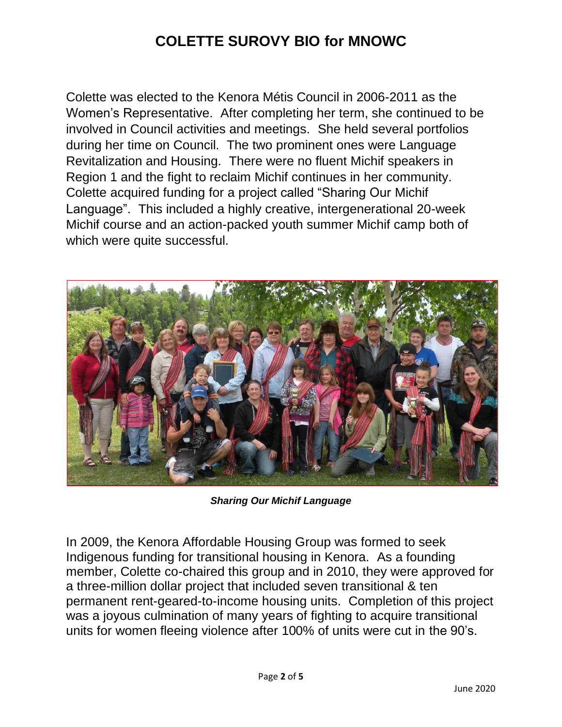Colette was elected to the Kenora Métis Council in 2006-2011 as the Women's Representative. After completing her term, she continued to be involved in Council activities and meetings. She held several portfolios during her time on Council. The two prominent ones were Language Revitalization and Housing. There were no fluent Michif speakers in Region 1 and the fight to reclaim Michif continues in her community. Colette acquired funding for a project called "Sharing Our Michif Language". This included a highly creative, intergenerational 20-week Michif course and an action-packed youth summer Michif camp both of which were quite successful.



*Sharing Our Michif Language*

In 2009, the Kenora Affordable Housing Group was formed to seek Indigenous funding for transitional housing in Kenora. As a founding member, Colette co-chaired this group and in 2010, they were approved for a three-million dollar project that included seven transitional & ten permanent rent-geared-to-income housing units. Completion of this project was a joyous culmination of many years of fighting to acquire transitional units for women fleeing violence after 100% of units were cut in the 90's.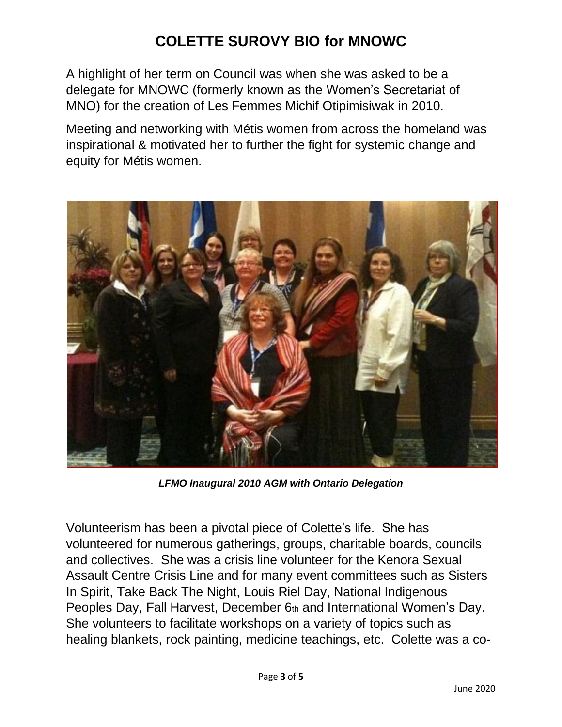A highlight of her term on Council was when she was asked to be a delegate for MNOWC (formerly known as the Women's Secretariat of MNO) for the creation of Les Femmes Michif Otipimisiwak in 2010.

Meeting and networking with Métis women from across the homeland was inspirational & motivated her to further the fight for systemic change and equity for Métis women.



*LFMO Inaugural 2010 AGM with Ontario Delegation*

Volunteerism has been a pivotal piece of Colette's life. She has volunteered for numerous gatherings, groups, charitable boards, councils and collectives. She was a crisis line volunteer for the Kenora Sexual Assault Centre Crisis Line and for many event committees such as Sisters In Spirit, Take Back The Night, Louis Riel Day, National Indigenous Peoples Day, Fall Harvest, December 6th and International Women's Day. She volunteers to facilitate workshops on a variety of topics such as healing blankets, rock painting, medicine teachings, etc. Colette was a co-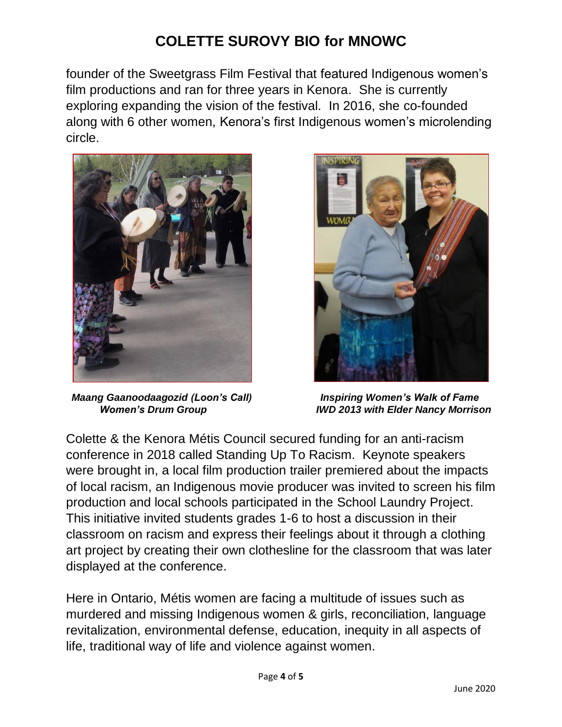founder of the Sweetgrass Film Festival that featured Indigenous women's film productions and ran for three years in Kenora. She is currently exploring expanding the vision of the festival. In 2016, she co-founded along with 6 other women, Kenora's first Indigenous women's microlending circle.



 *Maang Gaanoodaagozid (Loon's Call) Inspiring Women's Walk of Fame*



 *Women's Drum Group IWD 2013 with Elder Nancy Morrison*

Colette & the Kenora Métis Council secured funding for an anti-racism conference in 2018 called Standing Up To Racism. Keynote speakers were brought in, a local film production trailer premiered about the impacts of local racism, an Indigenous movie producer was invited to screen his film production and local schools participated in the School Laundry Project. This initiative invited students grades 1-6 to host a discussion in their classroom on racism and express their feelings about it through a clothing art project by creating their own clothesline for the classroom that was later displayed at the conference.

Here in Ontario, Métis women are facing a multitude of issues such as murdered and missing Indigenous women & girls, reconciliation, language revitalization, environmental defense, education, inequity in all aspects of life, traditional way of life and violence against women.